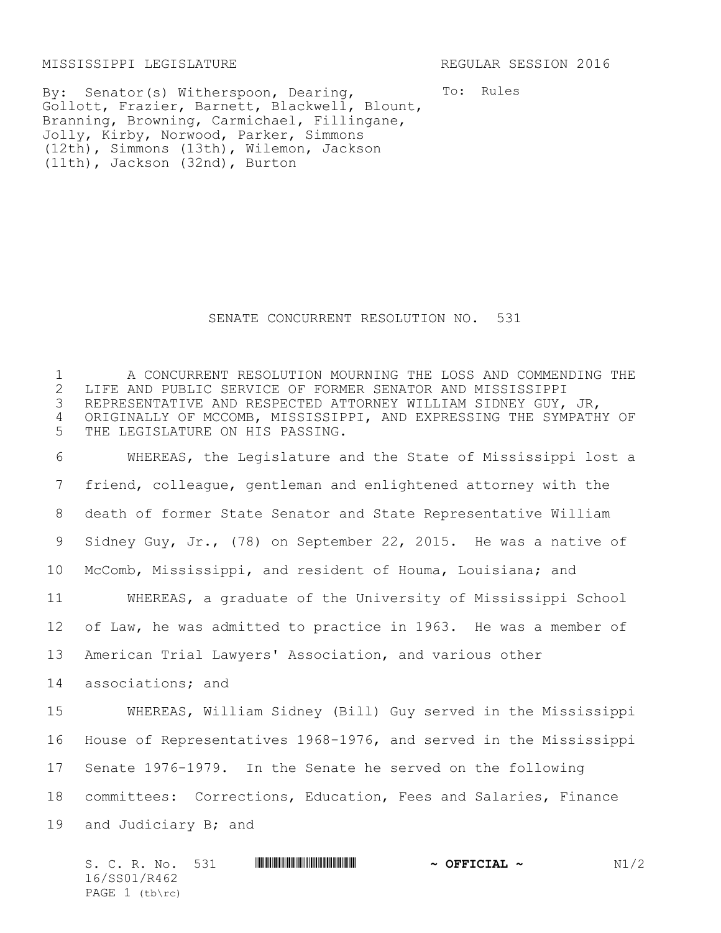MISSISSIPPI LEGISLATURE REGULAR SESSION 2016

14 associations; and

By: Senator(s) Witherspoon, Dearing, Gollott, Frazier, Barnett, Blackwell, Blount, Branning, Browning, Carmichael, Fillingane, Jolly, Kirby, Norwood, Parker, Simmons (12th), Simmons (13th), Wilemon, Jackson (11th), Jackson (32nd), Burton

To: Rules

## SENATE CONCURRENT RESOLUTION NO. 531

1 A CONCURRENT RESOLUTION MOURNING THE LOSS AND COMMENDING THE 2 LIFE AND PUBLIC SERVICE OF FORMER SENATOR AND MISSISSIPPI<br>3 REPRESENTATIVE AND RESPECTED ATTORNEY WILLIAM SIDNEY GUY, REPRESENTATIVE AND RESPECTED ATTORNEY WILLIAM SIDNEY GUY, JR, 4 ORIGINALLY OF MCCOMB, MISSISSIPPI, AND EXPRESSING THE SYMPATHY OF 5 THE LEGISLATURE ON HIS PASSING.

 WHEREAS, the Legislature and the State of Mississippi lost a friend, colleague, gentleman and enlightened attorney with the death of former State Senator and State Representative William Sidney Guy, Jr., (78) on September 22, 2015. He was a native of McComb, Mississippi, and resident of Houma, Louisiana; and WHEREAS, a graduate of the University of Mississippi School of Law, he was admitted to practice in 1963. He was a member of American Trial Lawyers' Association, and various other

 WHEREAS, William Sidney (Bill) Guy served in the Mississippi House of Representatives 1968-1976, and served in the Mississippi Senate 1976-1979. In the Senate he served on the following committees: Corrections, Education, Fees and Salaries, Finance and Judiciary B; and

S. C. R. No. 531 \*SS01/R462\* **~ OFFICIAL ~** N1/2 16/SS01/R462 PAGE  $1$  (tb\rc)